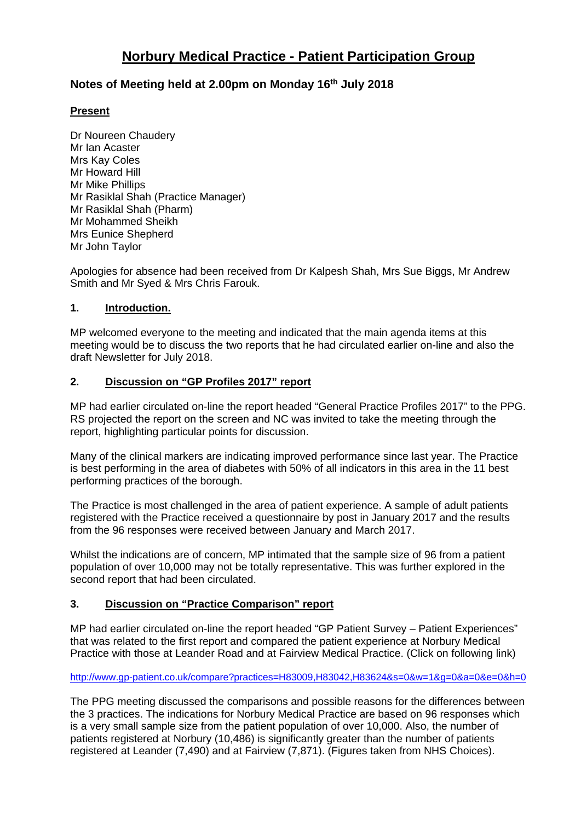# **Norbury Medical Practice - Patient Participation Group**

# **Notes of Meeting held at 2.00pm on Monday 16th July 2018**

### **Present**

Dr Noureen Chaudery Mr Ian Acaster Mrs Kay Coles Mr Howard Hill Mr Mike Phillips Mr Rasiklal Shah (Practice Manager) Mr Rasiklal Shah (Pharm) Mr Mohammed Sheikh Mrs Eunice Shepherd Mr John Taylor

Apologies for absence had been received from Dr Kalpesh Shah, Mrs Sue Biggs, Mr Andrew Smith and Mr Syed & Mrs Chris Farouk.

#### **1. Introduction.**

MP welcomed everyone to the meeting and indicated that the main agenda items at this meeting would be to discuss the two reports that he had circulated earlier on-line and also the draft Newsletter for July 2018.

# **2. Discussion on "GP Profiles 2017" report**

MP had earlier circulated on-line the report headed "General Practice Profiles 2017" to the PPG. RS projected the report on the screen and NC was invited to take the meeting through the report, highlighting particular points for discussion.

Many of the clinical markers are indicating improved performance since last year. The Practice is best performing in the area of diabetes with 50% of all indicators in this area in the 11 best performing practices of the borough.

The Practice is most challenged in the area of patient experience. A sample of adult patients registered with the Practice received a questionnaire by post in January 2017 and the results from the 96 responses were received between January and March 2017.

Whilst the indications are of concern, MP intimated that the sample size of 96 from a patient population of over 10,000 may not be totally representative. This was further explored in the second report that had been circulated.

#### **3. Discussion on "Practice Comparison" report**

MP had earlier circulated on-line the report headed "GP Patient Survey – Patient Experiences" that was related to the first report and compared the patient experience at Norbury Medical Practice with those at Leander Road and at Fairview Medical Practice. (Click on following link)

<http://www.gp-patient.co.uk/compare?practices=H83009,H83042,H83624&s=0&w=1&g=0&a=0&e=0&h=0>

The PPG meeting discussed the comparisons and possible reasons for the differences between the 3 practices. The indications for Norbury Medical Practice are based on 96 responses which is a very small sample size from the patient population of over 10,000. Also, the number of patients registered at Norbury (10,486) is significantly greater than the number of patients registered at Leander (7,490) and at Fairview (7,871). (Figures taken from NHS Choices).